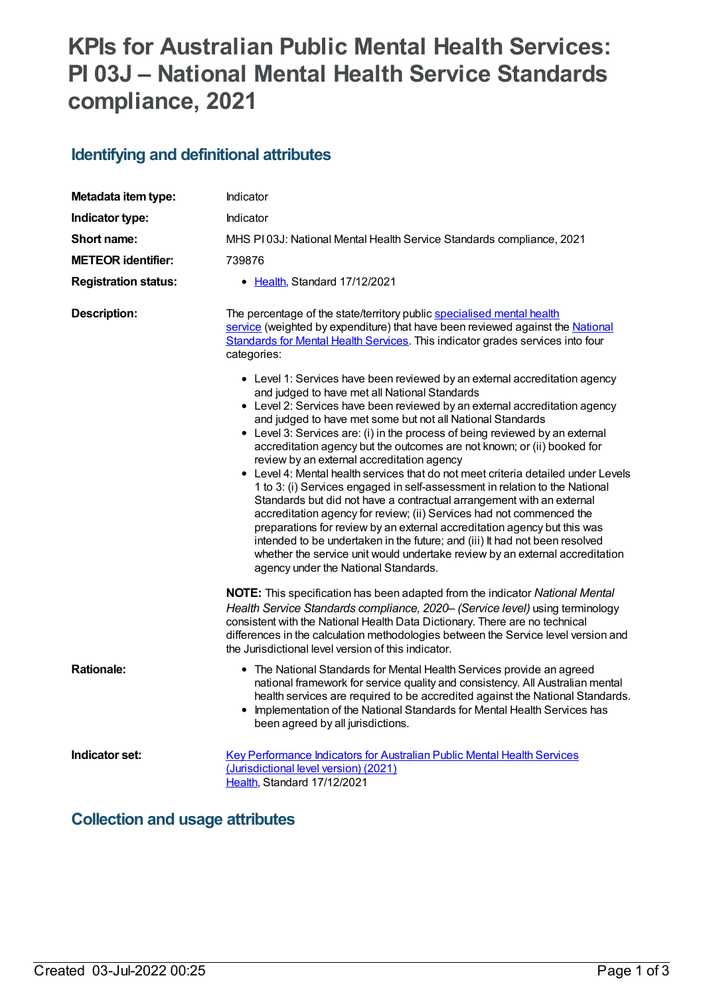# **KPIs for Australian Public Mental Health Services: PI 03J – National Mental Health Service Standards compliance, 2021**

### **Identifying and definitional attributes**

| Metadata item type:         | Indicator                                                                                                                                                                                                                                                                                                                                                                                                                                                                                                                                                                                                                                                                                                                                                                                                                                                                                                                                                 |
|-----------------------------|-----------------------------------------------------------------------------------------------------------------------------------------------------------------------------------------------------------------------------------------------------------------------------------------------------------------------------------------------------------------------------------------------------------------------------------------------------------------------------------------------------------------------------------------------------------------------------------------------------------------------------------------------------------------------------------------------------------------------------------------------------------------------------------------------------------------------------------------------------------------------------------------------------------------------------------------------------------|
| Indicator type:             | Indicator                                                                                                                                                                                                                                                                                                                                                                                                                                                                                                                                                                                                                                                                                                                                                                                                                                                                                                                                                 |
| Short name:                 | MHS PI03J: National Mental Health Service Standards compliance, 2021                                                                                                                                                                                                                                                                                                                                                                                                                                                                                                                                                                                                                                                                                                                                                                                                                                                                                      |
| <b>METEOR identifier:</b>   | 739876                                                                                                                                                                                                                                                                                                                                                                                                                                                                                                                                                                                                                                                                                                                                                                                                                                                                                                                                                    |
| <b>Registration status:</b> | • Health, Standard 17/12/2021                                                                                                                                                                                                                                                                                                                                                                                                                                                                                                                                                                                                                                                                                                                                                                                                                                                                                                                             |
| <b>Description:</b>         | The percentage of the state/territory public specialised mental health<br>service (weighted by expenditure) that have been reviewed against the National<br>Standards for Mental Health Services. This indicator grades services into four<br>categories:<br>• Level 1: Services have been reviewed by an external accreditation agency<br>and judged to have met all National Standards                                                                                                                                                                                                                                                                                                                                                                                                                                                                                                                                                                  |
|                             | • Level 2: Services have been reviewed by an external accreditation agency<br>and judged to have met some but not all National Standards<br>• Level 3: Services are: (i) in the process of being reviewed by an external<br>accreditation agency but the outcomes are not known; or (ii) booked for<br>review by an external accreditation agency<br>• Level 4: Mental health services that do not meet criteria detailed under Levels<br>1 to 3: (i) Services engaged in self-assessment in relation to the National<br>Standards but did not have a contractual arrangement with an external<br>accreditation agency for review; (ii) Services had not commenced the<br>preparations for review by an external accreditation agency but this was<br>intended to be undertaken in the future; and (iii) It had not been resolved<br>whether the service unit would undertake review by an external accreditation<br>agency under the National Standards. |
|                             | NOTE: This specification has been adapted from the indicator National Mental<br>Health Service Standards compliance, 2020- (Service level) using terminology<br>consistent with the National Health Data Dictionary. There are no technical<br>differences in the calculation methodologies between the Service level version and<br>the Jurisdictional level version of this indicator.                                                                                                                                                                                                                                                                                                                                                                                                                                                                                                                                                                  |
| <b>Rationale:</b>           | • The National Standards for Mental Health Services provide an agreed<br>national framework for service quality and consistency. All Australian mental<br>health services are required to be accredited against the National Standards.<br>Implementation of the National Standards for Mental Health Services has<br>$\bullet$<br>been agreed by all jurisdictions.                                                                                                                                                                                                                                                                                                                                                                                                                                                                                                                                                                                      |
| Indicator set:              | <b>Key Performance Indicators for Australian Public Mental Health Services</b><br>(Jurisdictional level version) (2021)<br>Health, Standard 17/12/2021                                                                                                                                                                                                                                                                                                                                                                                                                                                                                                                                                                                                                                                                                                                                                                                                    |

### **Collection and usage attributes**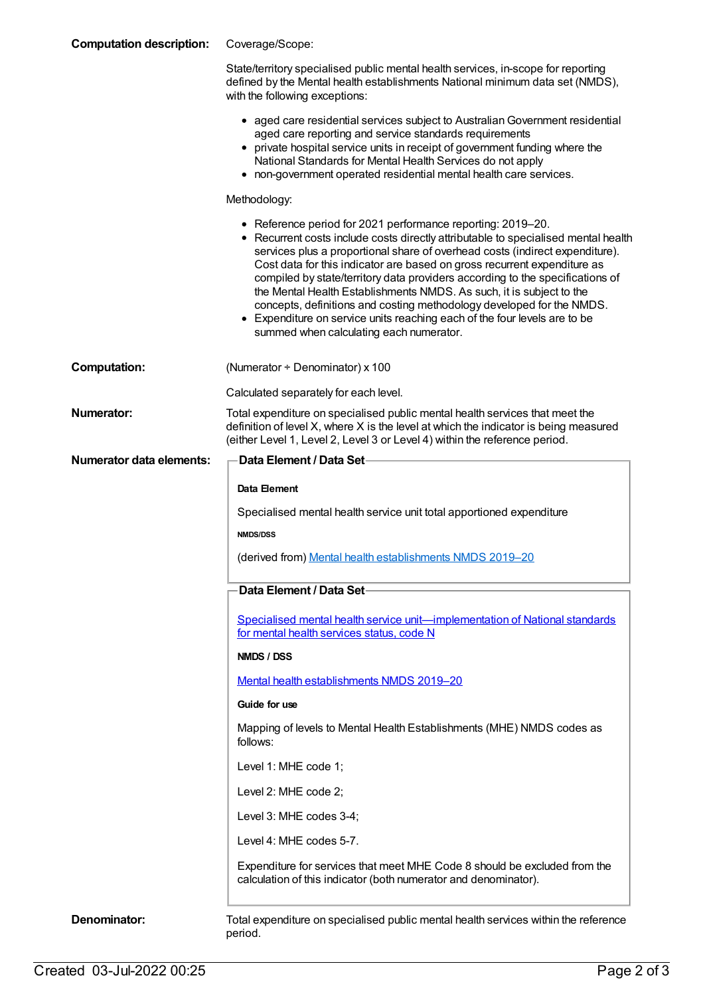| <b>Computation description:</b> | Coverage/Scope:                                                                                                                                                                                                                                                                                                                                                                                                                                                                                                                                                                                                                                                         |
|---------------------------------|-------------------------------------------------------------------------------------------------------------------------------------------------------------------------------------------------------------------------------------------------------------------------------------------------------------------------------------------------------------------------------------------------------------------------------------------------------------------------------------------------------------------------------------------------------------------------------------------------------------------------------------------------------------------------|
|                                 | State/territory specialised public mental health services, in-scope for reporting<br>defined by the Mental health establishments National minimum data set (NMDS),<br>with the following exceptions:                                                                                                                                                                                                                                                                                                                                                                                                                                                                    |
|                                 | • aged care residential services subject to Australian Government residential<br>aged care reporting and service standards requirements<br>• private hospital service units in receipt of government funding where the<br>National Standards for Mental Health Services do not apply<br>• non-government operated residential mental health care services.                                                                                                                                                                                                                                                                                                              |
|                                 | Methodology:                                                                                                                                                                                                                                                                                                                                                                                                                                                                                                                                                                                                                                                            |
|                                 | • Reference period for 2021 performance reporting: 2019–20.<br>• Recurrent costs include costs directly attributable to specialised mental health<br>services plus a proportional share of overhead costs (indirect expenditure).<br>Cost data for this indicator are based on gross recurrent expenditure as<br>compiled by state/territory data providers according to the specifications of<br>the Mental Health Establishments NMDS. As such, it is subject to the<br>concepts, definitions and costing methodology developed for the NMDS.<br>• Expenditure on service units reaching each of the four levels are to be<br>summed when calculating each numerator. |
| <b>Computation:</b>             | (Numerator + Denominator) x 100                                                                                                                                                                                                                                                                                                                                                                                                                                                                                                                                                                                                                                         |
|                                 | Calculated separately for each level.                                                                                                                                                                                                                                                                                                                                                                                                                                                                                                                                                                                                                                   |
| <b>Numerator:</b>               | Total expenditure on specialised public mental health services that meet the<br>definition of level X, where X is the level at which the indicator is being measured<br>(either Level 1, Level 2, Level 3 or Level 4) within the reference period.                                                                                                                                                                                                                                                                                                                                                                                                                      |
| <b>Numerator data elements:</b> | Data Element / Data Set-                                                                                                                                                                                                                                                                                                                                                                                                                                                                                                                                                                                                                                                |
|                                 | Data Element                                                                                                                                                                                                                                                                                                                                                                                                                                                                                                                                                                                                                                                            |
|                                 | Specialised mental health service unit total apportioned expenditure                                                                                                                                                                                                                                                                                                                                                                                                                                                                                                                                                                                                    |
|                                 | <b>NMDS/DSS</b>                                                                                                                                                                                                                                                                                                                                                                                                                                                                                                                                                                                                                                                         |
|                                 | (derived from) Mental health establishments NMDS 2019-20                                                                                                                                                                                                                                                                                                                                                                                                                                                                                                                                                                                                                |
|                                 | Data Element / Data Set                                                                                                                                                                                                                                                                                                                                                                                                                                                                                                                                                                                                                                                 |
|                                 | Specialised mental health service unit-implementation of National standards                                                                                                                                                                                                                                                                                                                                                                                                                                                                                                                                                                                             |
|                                 |                                                                                                                                                                                                                                                                                                                                                                                                                                                                                                                                                                                                                                                                         |
|                                 | for mental health services status, code N                                                                                                                                                                                                                                                                                                                                                                                                                                                                                                                                                                                                                               |
|                                 | NMDS / DSS                                                                                                                                                                                                                                                                                                                                                                                                                                                                                                                                                                                                                                                              |
|                                 | Mental health establishments NMDS 2019-20                                                                                                                                                                                                                                                                                                                                                                                                                                                                                                                                                                                                                               |
|                                 | Guide for use                                                                                                                                                                                                                                                                                                                                                                                                                                                                                                                                                                                                                                                           |
|                                 | Mapping of levels to Mental Health Establishments (MHE) NMDS codes as<br>follows:                                                                                                                                                                                                                                                                                                                                                                                                                                                                                                                                                                                       |
|                                 | Level 1: MHE code 1;                                                                                                                                                                                                                                                                                                                                                                                                                                                                                                                                                                                                                                                    |
|                                 | Level 2: MHE code 2;                                                                                                                                                                                                                                                                                                                                                                                                                                                                                                                                                                                                                                                    |
|                                 | Level 3: MHE codes 3-4;                                                                                                                                                                                                                                                                                                                                                                                                                                                                                                                                                                                                                                                 |
|                                 | Level 4: MHE codes 5-7.                                                                                                                                                                                                                                                                                                                                                                                                                                                                                                                                                                                                                                                 |
|                                 | Expenditure for services that meet MHE Code 8 should be excluded from the<br>calculation of this indicator (both numerator and denominator).                                                                                                                                                                                                                                                                                                                                                                                                                                                                                                                            |